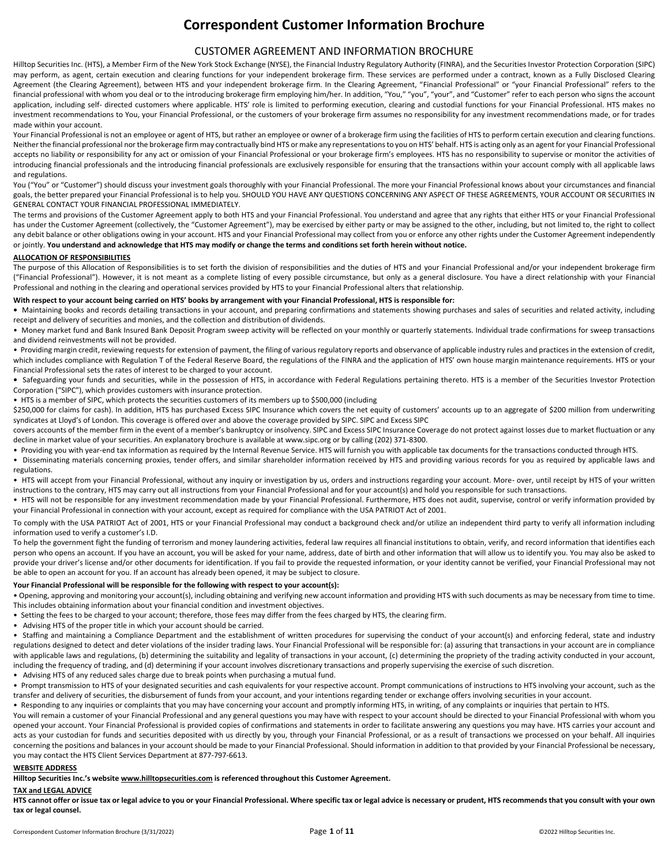# **Correspondent Customer Information Brochure**

## CUSTOMER AGREEMENT AND INFORMATION BROCHURE

Hilltop Securities Inc. (HTS), a Member Firm of the New York Stock Exchange (NYSE), the Financial Industry Regulatory Authority (FINRA), and the Securities Investor Protection Corporation (SIPC) may perform, as agent, certain execution and clearing functions for your independent brokerage firm. These services are performed under a contract, known as a Fully Disclosed Clearing Agreement (the Clearing Agreement), between HTS and your independent brokerage firm. In the Clearing Agreement, "Financial Professional" or "your Financial Professional" refers to the financial professional with whom you deal or to the introducing brokerage firm employing him/her. In addition, "You," "you", "your", and "Customer" refer to each person who signs the account application, including self- directed customers where applicable. HTS' role is limited to performing execution, clearing and custodial functions for your Financial Professional. HTS makes no investment recommendations to You, your Financial Professional, or the customers of your brokerage firm assumes no responsibility for any investment recommendations made, or for trades made within your account.

Your Financial Professional is not an employee or agent of HTS, but rather an employee or owner of a brokerage firm using the facilities of HTS to perform certain execution and clearing functions. Neither the financial professional nor the brokerage firm may contractually bind HTS or make any representations to you on HTS' behalf. HTS is acting only as an agent for your Financial Professional accepts no liability or responsibility for any act or omission of your Financial Professional or your brokerage firm's employees. HTS has no responsibility to supervise or monitor the activities of introducing financial professionals and the introducing financial professionals are exclusively responsible for ensuring that the transactions within your account comply with all applicable laws and regulations.

You ("You" or "Customer") should discuss your investment goals thoroughly with your Financial Professional. The more your Financial Professional knows about your circumstances and financial goals, the better prepared your Financial Professional is to help you. SHOULD YOU HAVE ANY QUESTIONS CONCERNING ANY ASPECT OF THESE AGREEMENTS, YOUR ACCOUNT OR SECURITIES IN GENERAL CONTACT YOUR FINANCIAL PROFESSIONAL IMMEDIATELY.

The terms and provisions of the Customer Agreement apply to both HTS and your Financial Professional. You understand and agree that any rights that either HTS or your Financial Professional has under the Customer Agreement (collectively, the "Customer Agreement"), may be exercised by either party or may be assigned to the other, including, but not limited to, the right to collect any debit balance or other obligations owing in your account. HTS and your Financial Professional may collect from you or enforce any other rights under the Customer Agreement independently or jointly. **You understand and acknowledge that HTS may modify or change the terms and conditions set forth herein without notice.**

## **ALLOCATION OF RESPONSIBILITIES**

The purpose of this Allocation of Responsibilities is to set forth the division of responsibilities and the duties of HTS and your Financial Professional and/or your independent brokerage firm ("Financial Professional"). However, it is not meant as a complete listing of every possible circumstance, but only as a general disclosure. You have a direct relationship with your Financial Professional and nothing in the clearing and operational services provided by HTS to your Financial Professional alters that relationship.

#### **With respect to your account being carried on HTS' books by arrangement with your Financial Professional, HTS is responsible for:**

**•** Maintaining books and records detailing transactions in your account, and preparing confirmations and statements showing purchases and sales of securities and related activity, including receipt and delivery of securities and monies, and the collection and distribution of dividends.

• Money market fund and Bank Insured Bank Deposit Program sweep activity will be reflected on your monthly or quarterly statements. Individual trade confirmations for sweep transactions and dividend reinvestments will not be provided.

• Providing margin credit, reviewing requests for extension of payment, the filing of various regulatory reports and observance of applicable industry rules and practices in the extension of credit, which includes compliance with Regulation T of the Federal Reserve Board, the regulations of the FINRA and the application of HTS' own house margin maintenance requirements. HTS or your Financial Professional sets the rates of interest to be charged to your account.

**•** Safeguarding your funds and securities, while in the possession of HTS, in accordance with Federal Regulations pertaining thereto. HTS is a member of the Securities Investor Protection Corporation ("SIPC"), which provides customers with insurance protection.

• HTS is a member of SIPC, which protects the securities customers of its members up to \$500,000 (including

\$250,000 for claims for cash). In addition, HTS has purchased Excess SIPC Insurance which covers the net equity of customers' accounts up to an aggregate of \$200 million from underwriting syndicates at Lloyd's of London. This coverage is offered over and above the coverage provided by SIPC. SIPC and Excess SIPC

covers accounts of the member firm in the event of a member's bankruptcy or insolvency. SIPC and Excess SIPC Insurance Coverage do not protect against losses due to market fluctuation or any decline in market value of your securities. An explanatory brochure is available at www.sipc.org or by calling (202) 371-8300.

- Providing you with year-end tax information as required by the Internal Revenue Service. HTS will furnish you with applicable tax documents for the transactions conducted through HTS.
- Disseminating materials concerning proxies, tender offers, and similar shareholder information received by HTS and providing various records for you as required by applicable laws and regulations.

• HTS will accept from your Financial Professional, without any inquiry or investigation by us, orders and instructions regarding your account. More- over, until receipt by HTS of your written instructions to the contrary, HTS may carry out all instructions from your Financial Professional and for your account(s) and hold you responsible for such transactions.

• HTS will not be responsible for any investment recommendation made by your Financial Professional. Furthermore, HTS does not audit, supervise, control or verify information provided by your Financial Professional in connection with your account, except as required for compliance with the USA PATRIOT Act of 2001.

To comply with the USA PATRIOT Act of 2001, HTS or your Financial Professional may conduct a background check and/or utilize an independent third party to verify all information including information used to verify a customer's I.D.

To help the government fight the funding of terrorism and money laundering activities, federal law requires all financial institutions to obtain, verify, and record information that identifies each person who opens an account. If you have an account, you will be asked for your name, address, date of birth and other information that will allow us to identify you. You may also be asked to provide your driver's license and/or other documents for identification. If you fail to provide the requested information, or your identity cannot be verified, your Financial Professional may not be able to open an account for you. If an account has already been opened, it may be subject to closure.

#### **Your Financial Professional will be responsible for the following with respect to your account(s):**

• Opening, approving and monitoring your account(s), including obtaining and verifying new account information and providing HTS with such documents as may be necessary from time to time. This includes obtaining information about your financial condition and investment objectives.

- Setting the fees to be charged to your account; therefore, those fees may differ from the fees charged by HTS, the clearing firm.
- Advising HTS of the proper title in which your account should be carried.

• Staffing and maintaining a Compliance Department and the establishment of written procedures for supervising the conduct of your account(s) and enforcing federal, state and industry regulations designed to detect and deter violations of the insider trading laws. Your Financial Professional will be responsible for: (a) assuring that transactions in your account are in compliance with applicable laws and regulations, (b) determining the suitability and legality of transactions in your account, (c) determining the propriety of the trading activity conducted in your account, including the frequency of trading, and (d) determining if your account involves discretionary transactions and properly supervising the exercise of such discretion.

• Advising HTS of any reduced sales charge due to break points when purchasing a mutual fund.

Prompt transmission to HTS of your designated securities and cash equivalents for your respective account. Prompt communications of instructions to HTS involving your account, such as the transfer and delivery of securities, the disbursement of funds from your account, and your intentions regarding tender or exchange offers involving securities in your account.

Responding to any inquiries or complaints that you may have concerning your account and promptly informing HTS, in writing, of any complaints or inquiries that pertain to HTS.

You will remain a customer of your Financial Professional and any general questions you may have with respect to your account should be directed to your Financial Professional with whom you opened your account. Your Financial Professional is provided copies of confirmations and statements in order to facilitate answering any questions you may have. HTS carries your account and acts as your custodian for funds and securities deposited with us directly by you, through your Financial Professional, or as a result of transactions we processed on your behalf. All inquiries concerning the positions and balances in your account should be made to your Financial Professional. Should information in addition to that provided by your Financial Professional be necessary, you may contact the HTS Client Services Department at 877-797-6613.

#### **WEBSITE ADDRESS**

## **Hilltop Securities Inc.'s website www.hilltopsecurities.com is referenced throughout this Customer Agreement.**

## **TAX and LEGAL ADVICE**

**HTS cannot offer or issue tax or legal advice to you or your Financial Professional. Where specific tax or legal advice is necessary or prudent, HTS recommends that you consult with your own tax or legal counsel.**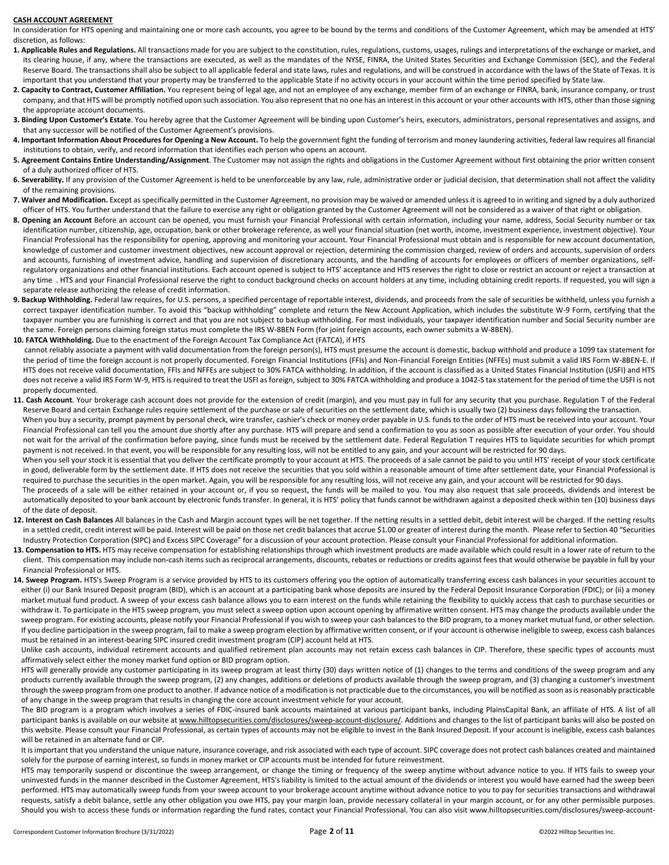#### **CASH ACCOUNT AGREEMENT**

In consideration for HTS opening and maintaining one or more cash accounts, you agree to be bound by the terms and conditions of the Customer Agreement, which may be amended at HTS' discretion, as follows:

- **1. Applicable Rules and Regulations.** All transactions made for you are subject to the constitution, rules, regulations, customs, usages, rulings and interpretations of the exchange or market, and its clearing house, if any, where the transactions are executed, as well as the mandates of the NYSE, FINRA, the United States Securities and Exchange Commission (SEC), and the Federal Reserve Board. The transactions shall also be subject to all applicable federal and state laws, rules and regulations, and will be construed in accordance with the laws of the State of Texas. It is important that you understand that your property may be transferred to the applicable State if no activity occurs in your account within the time period specified by State law.
- 2. Capacity to Contract, Customer Affiliation. You represent being of legal age, and not an employee of any exchange, member firm of an exchange or FINRA, bank, insurance company, or trust company, and that HTS will be promptly notified upon such association. You also represent that no one has an interest in this account or your other accounts with HTS, other than those signing the appropriate account documents.
- **3. Binding Upon Customer's Estate**. You hereby agree that the Customer Agreement will be binding upon Customer's heirs, executors, administrators, personal representatives and assigns, and that any successor will be notified of the Customer Agreement's provisions.
- **4. Important Information About Procedures for Opening a New Account.** To help the government fight the funding of terrorism and money laundering activities, federal law requires all financial institutions to obtain, verify, and record information that identifies each person who opens an account.
- **5. Agreement Contains Entire Understanding/Assignment**. The Customer may not assign the rights and obligations in the Customer Agreement without first obtaining the prior written consent of a duly authorized officer of HTS.
- 6. Severability. If any provision of the Customer Agreement is held to be unenforceable by any law, rule, administrative order or judicial decision, that determination shall not affect the validity of the remaining provisions.
- **7. Waiver and Modification.** Except as specifically permitted in the Customer Agreement, no provision may be waived or amended unless it is agreed to in writing and signed by a duly authorized officer of HTS. You further understand that the failure to exercise any right or obligation granted by the Customer Agreement will not be considered as a waiver of that right or obligation.
- **8. Opening an Account** Before an account can be opened, you must furnish your Financial Professional with certain information, including your name, address, Social Security number or tax identification number, citizenship, age, occupation, bank or other brokerage reference, as well your financial situation (net worth, income, investment experience, investment objective). Your Financial Professional has the responsibility for opening, approving and monitoring your account. Your Financial Professional must obtain and is responsible for new account documentation, knowledge of customer and customer investment objectives, new account approval or rejection, determining the commission charged, review of orders and accounts, supervision of orders and accounts, furnishing of investment advice, handling and supervision of discretionary accounts, and the handling of accounts for employees or officers of member organizations, selfregulatory organizations and other financial institutions. Each account opened is subject to HTS' acceptance and HTS reserves the right to close or restrict an account or reject a transaction at any time . HTS and your Financial Professional reserve the right to conduct background checks on account holders at any time, including obtaining credit reports. If requested, you will sign a separate release authorizing the release of credit information.
- **9. Backup Withholding.** Federal law requires, for U.S. persons, a specified percentage of reportable interest, dividends, and proceeds from the sale of securities be withheld, unless you furnish a correct taxpayer identification number. To avoid this "backup withholding" complete and return the New Account Application, which includes the substitute W-9 Form, certifying that the taxpayer number you are furnishing is correct and that you are not subject to backup withholding. For most individuals, your taxpayer identification number and Social Security number are the same. Foreign persons claiming foreign status must complete the IRS W-8BEN Form (for joint foreign accounts, each owner submits a W-8BEN).
- **10. FATCA Withholding.** Due to the enactment of the Foreign Account Tax Compliance Act (FATCA), if HTS
- cannot reliably associate a payment with valid documentation from the foreign person(s), HTS must presume the account is domestic, backup withhold and produce a 1099 tax statement for the period of time the foreign account is not properly documented. Foreign Financial Institutions (FFIs) and Non-Financial Foreign Entities (NFFEs) must submit a valid IRS Form W-8BEN-E. If HTS does not receive valid documentation, FFIs and NFFEs are subject to 30% FATCA withholding. In addition, if the account is classified as a United States Financial Institution (USFI) and HTS does not receive a valid IRS Form W-9, HTS is required to treat the USFI as foreign, subject to 30% FATCA withholding and produce a 1042-S tax statement for the period of time the USFI is not properly documented.
- 11. Cash Account. Your brokerage cash account does not provide for the extension of credit (margin), and you must pay in full for any security that you purchase. Regulation T of the Federal Reserve Board and certain Exchange rules require settlement of the purchase or sale of securities on the settlement date, which is usually two (2) business days following the transaction. When you buy a security, prompt payment by personal check, wire transfer, cashier's check or money order payable in U.S. funds to the order of HTS must be received into your account. Your Financial Professional can tell you the amount due shortly after any purchase. HTS will prepare and send a confirmation to you as soon as possible after execution of your order. You should not wait for the arrival of the confirmation before paying, since funds must be received by the settlement date. Federal Regulation T requires HTS to liquidate securities for which prompt payment is not received. In that event, you will be responsible for any resulting loss, will not be entitled to any gain, and your account will be restricted for 90 days. When you sell your stock it is essential that you deliver the certificate promptly to your account at HTS. The proceeds of a sale cannot be paid to you until HTS' receipt of your stock certificate in good, deliverable form by the settlement date. If HTS does not receive the securities that you sold within a reasonable amount of time after settlement date, your Financial Professional is required to purchase the securities in the open market. Again, you will be responsible for any resulting loss, will not receive any gain, and your account will be restricted for 90 days. The proceeds of a sale will be either retained in your account or, if you so request, the funds will be mailed to you. You may also request that sale proceeds, dividends and interest be automatically deposited to your bank account by electronic funds transfer. In general, it is HTS' policy that funds cannot be withdrawn against a deposited check within ten (10) business days of the date of deposit.
- 12. Interest on Cash Balances All balances in the Cash and Margin account types will be net together. If the netting results in a settled debit, debit interest will be charged. If the netting results in a settled credit, credit interest will be paid. Interest will be paid on those net credit balances that accrue \$1.00 or greater of interest during the month. Please refer to Section 40 "Securities Industry Protection Corporation (SIPC) and Excess SIPC Coverage" for a discussion of your account protection. Please consult your Financial Professional for additional information.
- 13. Compensation to HTS. HTS may receive compensation for establishing relationships through which investment products are made available which could result in a lower rate of return to the client. This compensation may include non-cash items such as reciprocal arrangements, discounts, rebates or reductions or credits against fees that would otherwise be payable in full by your Financial Professional or HTS.
- 14. Sweep Program. HTS's Sweep Program is a service provided by HTS to its customers offering you the option of automatically transferring excess cash balances in your securities account to either (i) our Bank Insured Deposit program (BID), which is an account at a participating bank whose deposits are insured by the Federal Deposit Insurance Corporation (FDIC); or (ii) a money market mutual fund product. A sweep of your excess cash balance allows you to earn interest on the funds while retaining the flexibility to quickly access that cash to purchase securities or withdraw it. To participate in the HTS sweep program, you must select a sweep option upon account opening by affirmative written consent. HTS may change the products available under the sweep program. For existing accounts, please notify your Financial Professional if you wish to sweep your cash balances to the BID program, to a money market mutual fund, or other selection. If you decline participation in the sweep program, fail to make a sweep program election by affirmative written consent, or if your account is otherwise ineligible to sweep, excess cash balances must be retained in an interest-bearing SIPC insured credit investment program (CIP) account held at HTS.

Unlike cash accounts, individual retirement accounts and qualified retirement plan accounts may not retain excess cash balances in CIP. Therefore, these specific types of accounts must affirmatively select either the money market fund option or BID program option.

HTS will generally provide any customer participating in its sweep program at least thirty (30) days written notice of (1) changes to the terms and conditions of the sweep program and any products currently available through the sweep program, (2) any changes, additions or deletions of products available through the sweep program, and (3) changing a customer's investment through the sweep program from one product to another. If advance notice of a modification is not practicable due to the circumstances, you will be notified as soon as is reasonably practicable of any change in the sweep program that results in changing the core account investment vehicle for your account.

The BID program is a program which involves a series of FDIC-insured bank accounts maintained at various participant banks, including PlainsCapital Bank, an affiliate of HTS. A list of all participant banks is available on our website at www.hilltopsecurities.com/disclosures/sweep-account-disclosure/. Additions and changes to the list of participant banks will also be posted on this website. Please consult your Financial Professional, as certain types of accounts may not be eligible to invest in the Bank Insured Deposit. If your account is ineligible, excess cash balances will be retained in an alternate fund or CIP.

It is important that you understand the unique nature, insurance coverage, and risk associated with each type of account. SIPC coverage does not protect cash balances created and maintained solely for the purpose of earning interest, so funds in money market or CIP accounts must be intended for future reinvestment.

HTS may temporarily suspend or discontinue the sweep arrangement, or change the timing or frequency of the sweep anytime without advance notice to you. If HTS fails to sweep your uninvested funds in the manner described in the Customer Agreement, HTS's liability is limited to the actual amount of the dividends or interest you would have earned had the sweep been performed. HTS may automatically sweep funds from your sweep account to your brokerage account anytime without advance notice to you to pay for securities transactions and withdrawal requests, satisfy a debit balance, settle any other obligation you owe HTS, pay your margin loan, provide necessary collateral in your margin account, or for any other permissible purposes. Should you wish to access these funds or information regarding the fund rates, contact your Financial Professional. You can also visit www.hilltopsecurities.com/disclosures/sweep-account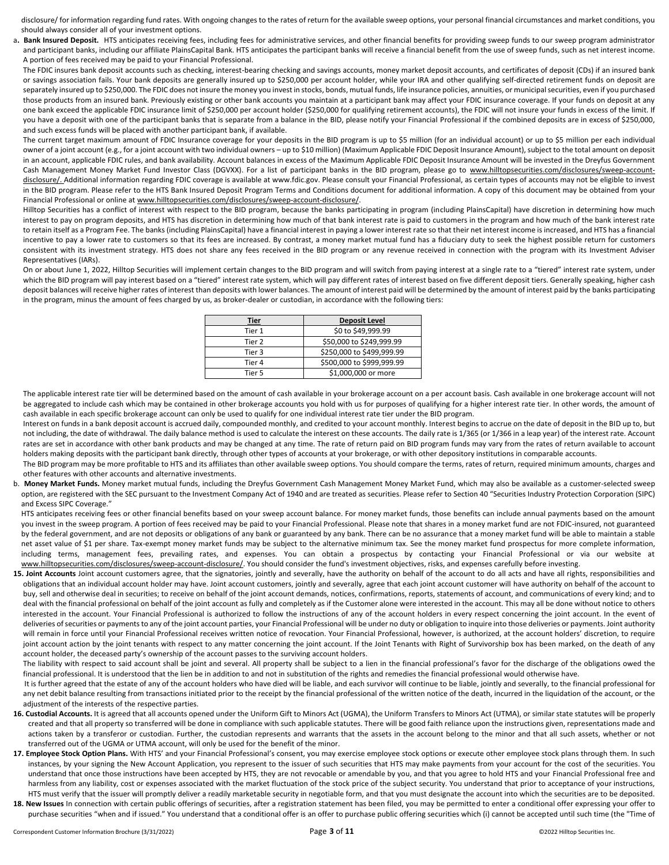disclosure/ for information regarding fund rates. With ongoing changes to the rates of return for the available sweep options, your personal financial circumstances and market conditions, you should always consider all of your investment options.

a. Bank Insured Deposit. HTS anticipates receiving fees, including fees for administrative services, and other financial benefits for providing sweep funds to our sweep program administrator and participant banks, including our affiliate PlainsCapital Bank. HTS anticipates the participant banks will receive a financial benefit from the use of sweep funds, such as net interest income. A portion of fees received may be paid to your Financial Professional.

The FDIC insures bank deposit accounts such as checking, interest-bearing checking and savings accounts, money market deposit accounts, and certificates of deposit (CDs) if an insured bank or savings association fails. Your bank deposits are generally insured up to \$250,000 per account holder, while your IRA and other qualifying self-directed retirement funds on deposit are separately insured up to \$250,000. The FDIC does not insure the money you invest in stocks, bonds, mutual funds, life insurance policies, annuities, or municipal securities, even if you purchased those products from an insured bank. Previously existing or other bank accounts you maintain at a participant bank may affect your FDIC insurance coverage. If your funds on deposit at any one bank exceed the applicable FDIC insurance limit of \$250,000 per account holder (\$250,000 for qualifying retirement accounts), the FDIC will not insure your funds in excess of the limit. If you have a deposit with one of the participant banks that is separate from a balance in the BID, please notify your Financial Professional if the combined deposits are in excess of \$250,000, and such excess funds will be placed with another participant bank, if available.

The current target maximum amount of FDIC Insurance coverage for your deposits in the BID program is up to \$5 million (for an individual account) or up to \$5 million per each individual owner of a joint account (e.g., for a joint account with two individual owners – up to \$10 million) (Maximum Applicable FDIC Deposit Insurance Amount), subject to the total amount on deposit in an account, applicable FDIC rules, and bank availability. Account balances in excess of the Maximum Applicable FDIC Deposit Insurance Amount will be invested in the Dreyfus Government Cash Management Money Market Fund Investor Class (DGVXX). For a list of participant banks in the BID program, please go to www.hilltopsecurities.com/disclosures/sweep-accountdisclosure/. Additional information regarding FDIC coverage is available at www.fdic.gov. Please consult your Financial Professional, as certain types of accounts may not be eligible to invest in the BID program. Please refer to the HTS Bank Insured Deposit Program Terms and Conditions document for additional information. A copy of this document may be obtained from your Financial Professional or online at www.hilltopsecurities.com/disclosures/sweep-account-disclosure/.

Hilltop Securities has a conflict of interest with respect to the BID program, because the banks participating in program (including PlainsCapital) have discretion in determining how much interest to pay on program deposits, and HTS has discretion in determining how much of that bank interest rate is paid to customers in the program and how much of the bank interest rate to retain itself as a Program Fee. The banks (including PlainsCapital) have a financial interest in paying a lower interest rate so that their net interest income is increased, and HTS has a financial incentive to pay a lower rate to customers so that its fees are increased. By contrast, a money market mutual fund has a fiduciary duty to seek the highest possible return for customers consistent with its investment strategy. HTS does not share any fees received in the BID program or any revenue received in connection with the program with its Investment Adviser Representatives (IARs).

On or about June 1, 2022, Hilltop Securities will implement certain changes to the BID program and will switch from paying interest at a single rate to a "tiered" interest rate system, under which the BID program will pay interest based on a "tiered" interest rate system, which will pay different rates of interest based on five different deposit tiers. Generally speaking, higher cash deposit balances will receive higher rates of interest than deposits with lower balances. The amount of interest paid will be determined by the amount of interest paid by the banks participating in the program, minus the amount of fees charged by us, as broker-dealer or custodian, in accordance with the following tiers:

| Tier   | <b>Deposit Level</b>      |
|--------|---------------------------|
| Tier 1 | \$0 to \$49,999.99        |
| Tier 2 | \$50,000 to \$249,999.99  |
| Tier 3 | \$250,000 to \$499,999.99 |
| Tier 4 | \$500,000 to \$999,999.99 |
| Tier 5 | \$1,000,000 or more       |

The applicable interest rate tier will be determined based on the amount of cash available in your brokerage account on a per account basis. Cash available in one brokerage account will not be aggregated to include cash which may be contained in other brokerage accounts you hold with us for purposes of qualifying for a higher interest rate tier. In other words, the amount of cash available in each specific brokerage account can only be used to qualify for one individual interest rate tier under the BID program.

Interest on funds in a bank deposit account is accrued daily, compounded monthly, and credited to your account monthly. Interest begins to accrue on the date of deposit in the BID up to, but not including, the date of withdrawal. The daily balance method is used to calculate the interest on these accounts. The daily rate is 1/365 (or 1/366 in a leap year) of the interest rate. Account rates are set in accordance with other bank products and may be changed at any time. The rate of return paid on BID program funds may vary from the rates of return available to account holders making deposits with the participant bank directly, through other types of accounts at your brokerage, or with other depository institutions in comparable accounts.

The BID program may be more profitable to HTS and its affiliates than other available sweep options. You should compare the terms, rates of return, required minimum amounts, charges and other features with other accounts and alternative investments.

b. **Money Market Funds.** Money market mutual funds, including the Dreyfus Government Cash Management Money Market Fund, which may also be available as a customer-selected sweep option, are registered with the SEC pursuant to the Investment Company Act of 1940 and are treated as securities. Please refer to Section 40 "Securities Industry Protection Corporation (SIPC) and Excess SIPC Coverage."

HTS anticipates receiving fees or other financial benefits based on your sweep account balance. For money market funds, those benefits can include annual payments based on the amount you invest in the sweep program. A portion of fees received may be paid to your Financial Professional. Please note that shares in a money market fund are not FDIC-insured, not guaranteed by the federal government, and are not deposits or obligations of any bank or guaranteed by any bank. There can be no assurance that a money market fund will be able to maintain a stable net asset value of \$1 per share. Tax-exempt money market funds may be subject to the alternative minimum tax. See the money market fund prospectus for more complete information, including terms, management fees, prevailing rates, and expenses. You can obtain a prospectus by contacting your Financial Professional or via our website at www.hilltopsecurities.com/disclosures/sweep-account-disclosure/. You should consider the fund's investment objectives, risks, and expenses carefully before investing.

15. Joint Accounts Joint account customers agree, that the signatories, jointly and severally, have the authority on behalf of the account to do all acts and have all rights, responsibilities and obligations that an individual account holder may have. Joint account customers, jointly and severally, agree that each joint account customer will have authority on behalf of the account to buy, sell and otherwise deal in securities; to receive on behalf of the joint account demands, notices, confirmations, reports, statements of account, and communications of every kind; and to deal with the financial professional on behalf of the joint account as fully and completely as if the Customer alone were interested in the account. This may all be done without notice to others interested in the account. Your Financial Professional is authorized to follow the instructions of any of the account holders in every respect concerning the joint account. In the event of deliveries of securities or payments to any of the joint account parties, your Financial Professional will be under no duty or obligation to inquire into those deliveries or payments. Joint authority will remain in force until your Financial Professional receives written notice of revocation. Your Financial Professional, however, is authorized, at the account holders' discretion, to require joint account action by the joint tenants with respect to any matter concerning the joint account. If the Joint Tenants with Right of Survivorship box has been marked, on the death of any account holder, the deceased party's ownership of the account passes to the surviving account holders.

The liability with respect to said account shall be joint and several. All property shall be subject to a lien in the financial professional's favor for the discharge of the obligations owed the financial professional. It is understood that the lien be in addition to and not in substitution of the rights and remedies the financial professional would otherwise have.

It is further agreed that the estate of any of the account holders who have died will be liable, and each survivor will continue to be liable, jointly and severally, to the financial professional for any net debit balance resulting from transactions initiated prior to the receipt by the financial professional of the written notice of the death, incurred in the liquidation of the account, or the adjustment of the interests of the respective parties.

- 16. Custodial Accounts. It is agreed that all accounts opened under the Uniform Gift to Minors Act (UGMA), the Uniform Transfers to Minors Act (UTMA), or similar state statutes will be properly created and that all property so transferred will be done in compliance with such applicable statutes. There will be good faith reliance upon the instructions given, representations made and actions taken by a transferor or custodian. Further, the custodian represents and warrants that the assets in the account belong to the minor and that all such assets, whether or not transferred out of the UGMA or UTMA account, will only be used for the benefit of the minor.
- 17. Employee Stock Option Plans. With HTS' and your Financial Professional's consent, you may exercise employee stock options or execute other employee stock plans through them. In such instances, by your signing the New Account Application, you represent to the issuer of such securities that HTS may make payments from your account for the cost of the securities. You understand that once those instructions have been accepted by HTS, they are not revocable or amendable by you, and that you agree to hold HTS and your Financial Professional free and harmless from any liability, cost or expenses associated with the market fluctuation of the stock price of the subject security. You understand that prior to acceptance of your instructions, HTS must verify that the issuer will promptly deliver a readily marketable security in negotiable form, and that you must designate the account into which the securities are to be deposited.
- 18. New Issues In connection with certain public offerings of securities, after a registration statement has been filed, you may be permitted to enter a conditional offer expressing your offer to purchase securities "when and if issued." You understand that a conditional offer is an offer to purchase public offering securities which (i) cannot be accepted until such time (the "Time of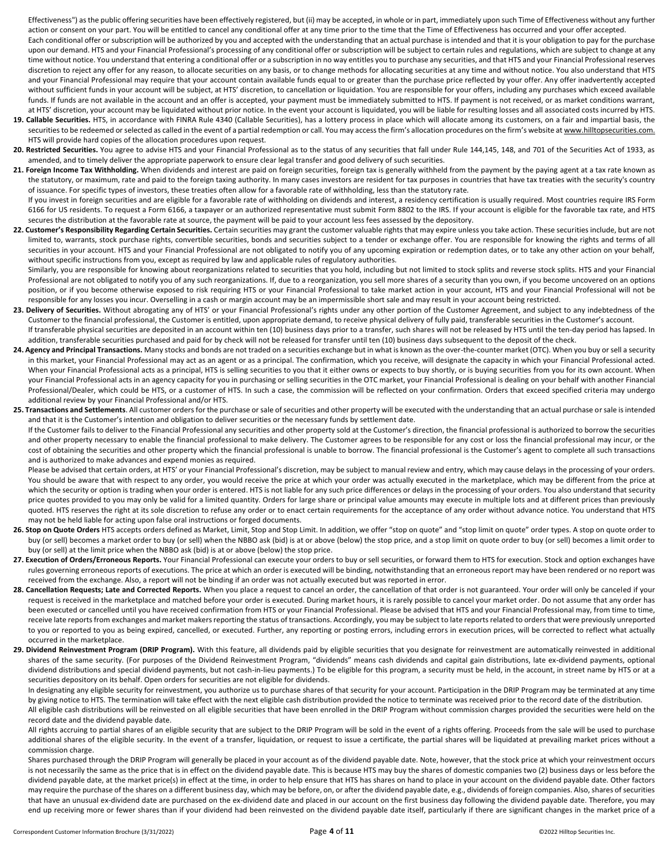Effectiveness") as the public offering securities have been effectively registered, but (ii) may be accepted, in whole or in part, immediately upon such Time of Effectiveness without any further action or consent on your part. You will be entitled to cancel any conditional offer at any time prior to the time that the Time of Effectiveness has occurred and your offer accepted.

Each conditional offer or subscription will be authorized by you and accepted with the understanding that an actual purchase is intended and that it is your obligation to pay for the purchase upon our demand. HTS and your Financial Professional's processing of any conditional offer or subscription will be subject to certain rules and regulations, which are subject to change at any time without notice. You understand that entering a conditional offer or a subscription in no way entitles you to purchase any securities, and that HTS and your Financial Professional reserves discretion to reject any offer for any reason, to allocate securities on any basis, or to change methods for allocating securities at any time and without notice. You also understand that HTS and your Financial Professional may require that your account contain available funds equal to or greater than the purchase price reflected by your offer. Any offer inadvertently accepted without sufficient funds in your account will be subject, at HTS' discretion, to cancellation or liquidation. You are responsible for your offers, including any purchases which exceed available funds. If funds are not available in the account and an offer is accepted, your payment must be immediately submitted to HTS. If payment is not received, or as market conditions warrant, at HTS' discretion, your account may be liquidated without prior notice. In the event your account is liquidated, you will be liable for resulting losses and all associated costs incurred by HTS.

- **19. Callable Securities.** HTS, in accordance with FINRA Rule 4340 (Callable Securities), has a lottery process in place which will allocate among its customers, on a fair and impartial basis, the securities to be redeemed or selected as called in the event of a partial redemption or call. You may access the firm's allocation procedures on the firm's website at www.hilltopsecurities.com. HTS will provide hard copies of the allocation procedures upon request.
- 20. Restricted Securities. You agree to advise HTS and your Financial Professional as to the status of any securities that fall under Rule 144,145, 148, and 701 of the Securities Act of 1933, as amended, and to timely deliver the appropriate paperwork to ensure clear legal transfer and good delivery of such securities.
- 21. Foreign Income Tax Withholding. When dividends and interest are paid on foreign securities, foreign tax is generally withheld from the payment by the paying agent at a tax rate known as the statutory, or maximum, rate and paid to the foreign taxing authority. In many cases investors are resident for tax purposes in countries that have tax treaties with the security's country of issuance. For specific types of investors, these treaties often allow for a favorable rate of withholding, less than the statutory rate.
- If you invest in foreign securities and are eligible for a favorable rate of withholding on dividends and interest, a residency certification is usually required. Most countries require IRS Form 6166 for US residents. To request a Form 6166, a taxpayer or an authorized representative must submit Form 8802 to the IRS. If your account is eligible for the favorable tax rate, and HTS secures the distribution at the favorable rate at source, the payment will be paid to your account less fees assessed by the depository.
- 22. Customer's Responsibility Regarding Certain Securities. Certain securities may grant the customer valuable rights that may expire unless you take action. These securities include, but are not limited to, warrants, stock purchase rights, convertible securities, bonds and securities subject to a tender or exchange offer. You are responsible for knowing the rights and terms of all securities in your account. HTS and your Financial Professional are not obligated to notify you of any upcoming expiration or redemption dates, or to take any other action on your behalf, without specific instructions from you, except as required by law and applicable rules of regulatory authorities.

Similarly, you are responsible for knowing about reorganizations related to securities that you hold, including but not limited to stock splits and reverse stock splits. HTS and your Financial Professional are not obligated to notify you of any such reorganizations. If, due to a reorganization, you sell more shares of a security than you own, if you become uncovered on an options position, or if you become otherwise exposed to risk requiring HTS or your Financial Professional to take market action in your account, HTS and your Financial Professional will not be responsible for any losses you incur. Overselling in a cash or margin account may be an impermissible short sale and may result in your account being restricted.

- 23. Delivery of Securities. Without abrogating any of HTS' or your Financial Professional's rights under any other portion of the Customer Agreement, and subject to any indebtedness of the Customer to the financial professional, the Customer is entitled, upon appropriate demand, to receive physical delivery of fully paid, transferable securities in the Customer's account. If transferable physical securities are deposited in an account within ten (10) business days prior to a transfer, such shares will not be released by HTS until the ten-day period has lapsed. In
- addition, transferable securities purchased and paid for by check will not be released for transfer until ten (10) business days subsequent to the deposit of the check.
- **24. Agency and Principal Transactions.** Many stocks and bonds are not traded on a securities exchange but in what is known as the over-the-counter market (OTC). When you buy or sell a security in this market, your Financial Professional may act as an agent or as a principal. The confirmation, which you receive, will designate the capacity in which your Financial Professional acted. When your Financial Professional acts as a principal, HTS is selling securities to you that it either owns or expects to buy shortly, or is buying securities from you for its own account. When your Financial Professional acts in an agency capacity for you in purchasing or selling securities in the OTC market, your Financial Professional is dealing on your behalf with another Financial Professional/Dealer, which could be HTS, or a customer of HTS. In such a case, the commission will be reflected on your confirmation. Orders that exceed specified criteria may undergo additional review by your Financial Professional and/or HTS.
- **25. Transactions and Settlements**. All customer orders for the purchase or sale of securities and other property will be executed with the understanding that an actual purchase or sale is intended and that it is the Customer's intention and obligation to deliver securities or the necessary funds by settlement date.

If the Customer fails to deliver to the Financial Professional any securities and other property sold at the Customer's direction, the financial professional is authorized to borrow the securities and other property necessary to enable the financial professional to make delivery. The Customer agrees to be responsible for any cost or loss the financial professional may incur, or the cost of obtaining the securities and other property which the financial professional is unable to borrow. The financial professional is the Customer's agent to complete all such transactions and is authorized to make advances and expend monies as required.

Please be advised that certain orders, at HTS' or your Financial Professional's discretion, may be subject to manual review and entry, which may cause delays in the processing of your orders. You should be aware that with respect to any order, you would receive the price at which your order was actually executed in the marketplace, which may be different from the price at which the security or option is trading when your order is entered. HTS is not liable for any such price differences or delays in the processing of your orders. You also understand that security price quotes provided to you may only be valid for a limited quantity. Orders for large share or principal value amounts may execute in multiple lots and at different prices than previously quoted. HTS reserves the right at its sole discretion to refuse any order or to enact certain requirements for the acceptance of any order without advance notice. You understand that HTS may not be held liable for acting upon false oral instructions or forged documents.

- 26. Stop on Quote Orders HTS accepts orders defined as Market, Limit, Stop and Stop Limit. In addition, we offer "stop on quote" and "stop limit on quote" order types. A stop on quote order to buy (or sell) becomes a market order to buy (or sell) when the NBBO ask (bid) is at or above (below) the stop price, and a stop limit on quote order to buy (or sell) becomes a limit order to buy (or sell) at the limit price when the NBBO ask (bid) is at or above (below) the stop price.
- 27. Execution of Orders/Erroneous Reports. Your Financial Professional can execute your orders to buy or sell securities, or forward them to HTS for execution. Stock and option exchanges have rules governing erroneous reports of executions. The price at which an order is executed will be binding, notwithstanding that an erroneous report may have been rendered or no report was received from the exchange. Also, a report will not be binding if an order was not actually executed but was reported in error.
- 28. Cancellation Requests; Late and Corrected Reports. When you place a request to cancel an order, the cancellation of that order is not guaranteed. Your order will only be canceled if your request is received in the marketplace and matched before your order is executed. During market hours, it is rarely possible to cancel your market order. Do not assume that any order has been executed or cancelled until you have received confirmation from HTS or your Financial Professional. Please be advised that HTS and your Financial Professional may, from time to time, receive late reports from exchanges and market makers reporting the status of transactions. Accordingly, you may be subject to late reports related to orders that were previously unreported to you or reported to you as being expired, cancelled, or executed. Further, any reporting or posting errors, including errors in execution prices, will be corrected to reflect what actually occurred in the marketplace.
- 29. Dividend Reinvestment Program (DRIP Program). With this feature, all dividends paid by eligible securities that you designate for reinvestment are automatically reinvested in additional shares of the same security. (For purposes of the Dividend Reinvestment Program, "dividends" means cash dividends and capital gain distributions, late ex-dividend payments, optional dividend distributions and special dividend payments, but not cash-in-lieu payments.) To be eligible for this program, a security must be held, in the account, in street name by HTS or at a securities depository on its behalf. Open orders for securities are not eligible for dividends.

In designating any eligible security for reinvestment, you authorize us to purchase shares of that security for your account. Participation in the DRIP Program may be terminated at any time by giving notice to HTS. The termination will take effect with the next eligible cash distribution provided the notice to terminate was received prior to the record date of the distribution. All eligible cash distributions will be reinvested on all eligible securities that have been enrolled in the DRIP Program without commission charges provided the securities were held on the record date and the dividend payable date.

All rights accruing to partial shares of an eligible security that are subject to the DRIP Program will be sold in the event of a rights offering. Proceeds from the sale will be used to purchase additional shares of the eligible security. In the event of a transfer, liquidation, or request to issue a certificate, the partial shares will be liquidated at prevailing market prices without a commission charge.

Shares purchased through the DRIP Program will generally be placed in your account as of the dividend payable date. Note, however, that the stock price at which your reinvestment occurs is not necessarily the same as the price that is in effect on the dividend payable date. This is because HTS may buy the shares of domestic companies two (2) business days or less before the dividend payable date, at the market price(s) in effect at the time, in order to help ensure that HTS has shares on hand to place in your account on the dividend payable date. Other factors may require the purchase of the shares on a different business day, which may be before, on, or after the dividend payable date, e.g., dividends of foreign companies. Also, shares of securities that have an unusual ex-dividend date are purchased on the ex-dividend date and placed in our account on the first business day following the dividend payable date. Therefore, you may end up receiving more or fewer shares than if your dividend had been reinvested on the dividend payable date itself, particularly if there are significant changes in the market price of a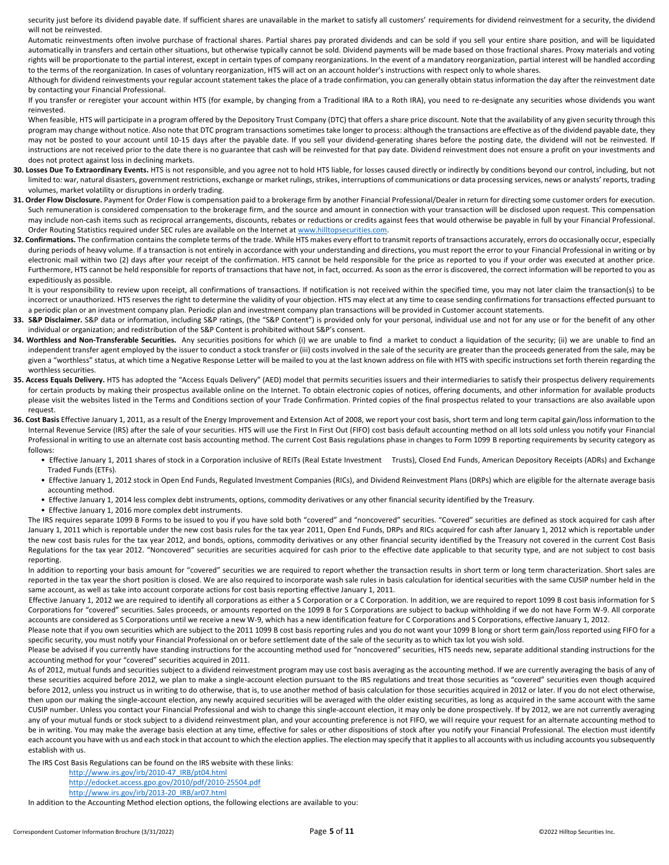security just before its dividend payable date. If sufficient shares are unavailable in the market to satisfy all customers' requirements for dividend reinvestment for a security, the dividend will not be reinvested.

 Automatic reinvestments often involve purchase of fractional shares. Partial shares pay prorated dividends and can be sold if you sell your entire share position, and will be liquidated automatically in transfers and certain other situations, but otherwise typically cannot be sold. Dividend payments will be made based on those fractional shares. Proxy materials and voting rights will be proportionate to the partial interest, except in certain types of company reorganizations. In the event of a mandatory reorganization, partial interest will be handled according to the terms of the reorganization. In cases of voluntary reorganization, HTS will act on an account holder's instructions with respect only to whole shares.

 Although for dividend reinvestments your regular account statement takes the place of a trade confirmation, you can generally obtain status information the day after the reinvestment date by contacting your Financial Professional.

 If you transfer or reregister your account within HTS (for example, by changing from a Traditional IRA to a Roth IRA), you need to re-designate any securities whose dividends you want reinvested.

When feasible, HTS will participate in a program offered by the Depository Trust Company (DTC) that offers a share price discount. Note that the availability of any given security through this program may change without notice. Also note that DTC program transactions sometimes take longer to process: although the transactions are effective as of the dividend payable date, they may not be posted to your account until 10-15 days after the payable date. If you sell your dividend-generating shares before the posting date, the dividend will not be reinvested. If instructions are not received prior to the date there is no guarantee that cash will be reinvested for that pay date. Dividend reinvestment does not ensure a profit on your investments and does not protect against loss in declining markets.

- **30. Losses Due To Extraordinary Events.** HTS is not responsible, and you agree not to hold HTS liable, for losses caused directly or indirectly by conditions beyond our control, including, but not limited to: war, natural disasters, government restrictions, exchange or market rulings, strikes, interruptions of communications or data processing services, news or analysts' reports, trading volumes, market volatility or disruptions in orderly trading.
- **31. Order Flow Disclosure.** Payment for Order Flow is compensation paid to a brokerage firm by another Financial Professional/Dealer in return for directing some customer orders for execution. Such remuneration is considered compensation to the brokerage firm, and the source and amount in connection with your transaction will be disclosed upon request. This compensation may include non-cash items such as reciprocal arrangements, discounts, rebates or reductions or credits against fees that would otherwise be payable in full by your Financial Professional. Order Routing Statistics required under SEC rules are available on the Internet at www.hilltopsecurities.com.
- 32. Confirmations. The confirmation contains the complete terms of the trade. While HTS makes every effort to transmit reports of transactions accurately, errors do occasionally occur, especially during periods of heavy volume. If a transaction is not entirely in accordance with your understanding and directions, you must report the error to your Financial Professional in writing or by electronic mail within two (2) days after your receipt of the confirmation. HTS cannot be held responsible for the price as reported to you if your order was executed at another price. Furthermore, HTS cannot be held responsible for reports of transactions that have not, in fact, occurred. As soon as the error is discovered, the correct information will be reported to you as expeditiously as possible.

It is your responsibility to review upon receipt, all confirmations of transactions. If notification is not received within the specified time, you may not later claim the transaction(s) to be incorrect or unauthorized. HTS reserves the right to determine the validity of your objection. HTS may elect at any time to cease sending confirmations for transactions effected pursuant to a periodic plan or an investment company plan. Periodic plan and investment company plan transactions will be provided in Customer account statements.

- 33. S&P Disclaimer. S&P data or information, including S&P ratings, (the "S&P Content") is provided only for your personal, individual use and not for any use or for the benefit of any other individual or organization; and redistribution of the S&P Content is prohibited without S&P's consent.
- 34. Worthless and Non-Transferable Securities. Any securities positions for which (i) we are unable to find a market to conduct a liquidation of the security; (ii) we are unable to find an independent transfer agent employed by the issuer to conduct a stock transfer or (iii) costs involved in the sale of the security are greater than the proceeds generated from the sale, may be given a "worthless" status, at which time a Negative Response Letter will be mailed to you at the last known address on file with HTS with specific instructions set forth therein regarding the worthless securities.
- 35. Access Equals Delivery. HTS has adopted the "Access Equals Delivery" (AED) model that permits securities issuers and their intermediaries to satisfy their prospectus delivery requirements for certain products by making their prospectus available online on the Internet. To obtain electronic copies of notices, offering documents, and other information for available products please visit the websites listed in the Terms and Conditions section of your Trade Confirmation. Printed copies of the final prospectus related to your transactions are also available upon request.
- **36. Cost Basis** Effective January 1, 2011, as a result of the Energy Improvement and Extension Act of 2008, we report your cost basis, short term and long term capital gain/loss information to the Internal Revenue Service (IRS) after the sale of your securities. HTS will use the First In First Out (FIFO) cost basis default accounting method on all lots sold unless you notify your Financial Professional in writing to use an alternate cost basis accounting method. The current Cost Basis regulations phase in changes to Form 1099 B reporting requirements by security category as follows:
	- Effective January 1, 2011 shares of stock in a Corporation inclusive of REITs (Real Estate Investment Trusts), Closed End Funds, American Depository Receipts (ADRs) and Exchange Traded Funds (ETFs).
	- Effective January 1, 2012 stock in Open End Funds, Regulated Investment Companies (RICs), and Dividend Reinvestment Plans (DRPs) which are eligible for the alternate average basis accounting method.
	- Effective January 1, 2014 less complex debt instruments, options, commodity derivatives or any other financial security identified by the Treasury.
	- Effective January 1, 2016 more complex debt instruments.

The IRS requires separate 1099 B Forms to be issued to you if you have sold both "covered" and "noncovered" securities. "Covered" securities are defined as stock acquired for cash after January 1, 2011 which is reportable under the new cost basis rules for the tax year 2011, Open End Funds, DRPs and RICs acquired for cash after January 1, 2012 which is reportable under the new cost basis rules for the tax year 2012, and bonds, options, commodity derivatives or any other financial security identified by the Treasury not covered in the current Cost Basis Regulations for the tax year 2012. "Noncovered" securities are securities acquired for cash prior to the effective date applicable to that security type, and are not subject to cost basis reporting.

In addition to reporting your basis amount for "covered" securities we are required to report whether the transaction results in short term or long term characterization. Short sales are reported in the tax year the short position is closed. We are also required to incorporate wash sale rules in basis calculation for identical securities with the same CUSIP number held in the same account, as well as take into account corporate actions for cost basis reporting effective January 1, 2011.

 Effective January 1, 2012 we are required to identify all corporations as either a S Corporation or a C Corporation. In addition, we are required to report 1099 B cost basis information for S Corporations for "covered" securities. Sales proceeds, or amounts reported on the 1099 B for S Corporations are subject to backup withholding if we do not have Form W-9. All corporate accounts are considered as S Corporations until we receive a new W-9, which has a new identification feature for C Corporations and S Corporations, effective January 1, 2012.

Please note that if you own securities which are subject to the 2011 1099 B cost basis reporting rules and you do not want your 1099 B long or short term gain/loss reported using FIFO for a specific security, you must notify your Financial Professional on or before settlement date of the sale of the security as to which tax lot you wish sold.

Please be advised if you currently have standing instructions for the accounting method used for "noncovered" securities, HTS needs new, separate additional standing instructions for the accounting method for your "covered" securities acquired in 2011.

 As of 2012, mutual funds and securities subject to a dividend reinvestment program may use cost basis averaging as the accounting method. If we are currently averaging the basis of any of these securities acquired before 2012, we plan to make a single-account election pursuant to the IRS regulations and treat those securities as "covered" securities even though acquired before 2012, unless you instruct us in writing to do otherwise, that is, to use another method of basis calculation for those securities acquired in 2012 or later. If you do not elect otherwise, then upon our making the single-account election, any newly acquired securities will be averaged with the older existing securities, as long as acquired in the same account with the same CUSIP number. Unless you contact your Financial Professional and wish to change this single-account election, it may only be done prospectively. If by 2012, we are not currently averaging any of your mutual funds or stock subject to a dividend reinvestment plan, and your accounting preference is not FIFO, we will require your request for an alternate accounting method to be in writing. You may make the average basis election at any time, effective for sales or other dispositions of stock after you notify your Financial Professional. The election must identify each account you have with us and each stock in that account to which the election applies. The election may specify that it applies to all accounts with us including accounts you subsequently establish with us.

The IRS Cost Basis Regulations can be found on the IRS website with these links:

http://www.irs.gov/irb/2010-47\_IRB/pt04.html

http://edocket.access.gpo.gov/2010/pdf/2010-25504.pdf

http://www.irs.gov/irb/2013-20\_IRB/ar07.html

In addition to the Accounting Method election options, the following elections are available to you: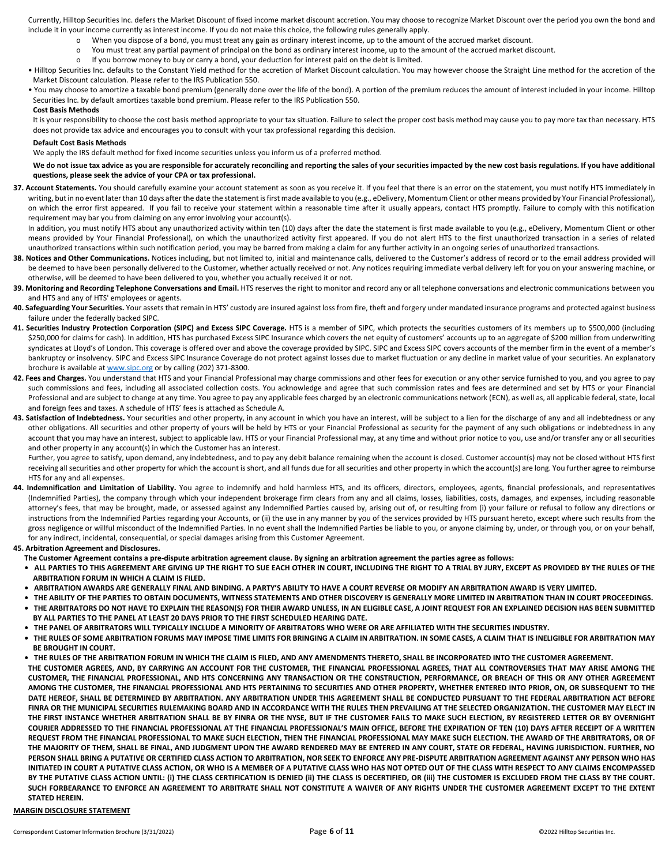Currently, Hilltop Securities Inc. defers the Market Discount of fixed income market discount accretion. You may choose to recognize Market Discount over the period you own the bond and include it in your income currently as interest income. If you do not make this choice, the following rules generally apply.

- When you dispose of a bond, you must treat any gain as ordinary interest income, up to the amount of the accrued market discount.
- o You must treat any partial payment of principal on the bond as ordinary interest income, up to the amount of the accrued market discount.
- o If you borrow money to buy or carry a bond, your deduction for interest paid on the debt is limited.
- Hilltop Securities Inc. defaults to the Constant Yield method for the accretion of Market Discount calculation. You may however choose the Straight Line method for the accretion of the Market Discount calculation. Please refer to the IRS Publication 550.
- You may choose to amortize a taxable bond premium (generally done over the life of the bond). A portion of the premium reduces the amount of interest included in your income. Hilltop Securities Inc. by default amortizes taxable bond premium. Please refer to the IRS Publication 550.

#### **Cost Basis Methods**

It is your responsibility to choose the cost basis method appropriate to your tax situation. Failure to select the proper cost basis method may cause you to pay more tax than necessary. HTS does not provide tax advice and encourages you to consult with your tax professional regarding this decision.

#### **Default Cost Basis Methods**

We apply the IRS default method for fixed income securities unless you inform us of a preferred method.

#### We do not issue tax advice as you are responsible for accurately reconciling and reporting the sales of your securities impacted by the new cost basis regulations. If you have additional **questions, please seek the advice of your CPA or tax professional.**

**37. Account Statements.** You should carefully examine your account statement as soon as you receive it. If you feel that there is an error on the statement, you must notify HTS immediately in writing, but in no event later than 10 days after the date the statement is first made available to you (e.g., eDelivery, Momentum Client or other means provided by Your Financial Professional), on which the error first appeared. If you fail to receive your statement within a reasonable time after it usually appears, contact HTS promptly. Failure to comply with this notification requirement may bar you from claiming on any error involving your account(s).

In addition, you must notify HTS about any unauthorized activity within ten (10) days after the date the statement is first made available to you (e.g., eDelivery, Momentum Client or other means provided by Your Financial Professional), on which the unauthorized activity first appeared. If you do not alert HTS to the first unauthorized transaction in a series of related unauthorized transactions within such notification period, you may be barred from making a claim for any further activity in an ongoing series of unauthorized transactions.

- 38. Notices and Other Communications. Notices including, but not limited to, initial and maintenance calls, delivered to the Customer's address of record or to the email address provided will be deemed to have been personally delivered to the Customer, whether actually received or not. Any notices requiring immediate verbal delivery left for you on your answering machine, or otherwise, will be deemed to have been delivered to you, whether you actually received it or not.
- 39. Monitoring and Recording Telephone Conversations and Email. HTS reserves the right to monitor and record any or all telephone conversations and electronic communications between you and HTS and any of HTS' employees or agents.
- 40. Safeguarding Your Securities. Your assets that remain in HTS' custody are insured against loss from fire, theft and forgery under mandated insurance programs and protected against business failure under the federally backed SIPC.
- **41. Securities Industry Protection Corporation (SIPC) and Excess SIPC Coverage.** HTS is a member of SIPC, which protects the securities customers of its members up to \$500,000 (including \$250,000 for claims for cash). In addition, HTS has purchased Excess SIPC Insurance which covers the net equity of customers' accounts up to an aggregate of \$200 million from underwriting syndicates at Lloyd's of London. This coverage is offered over and above the coverage provided by SIPC. SIPC and Excess SIPC covers accounts of the member firm in the event of a member's bankruptcy or insolvency. SIPC and Excess SIPC Insurance Coverage do not protect against losses due to market fluctuation or any decline in market value of your securities. An explanatory brochure is available at www.sipc.org or by calling (202) 371-8300.
- 42. Fees and Charges. You understand that HTS and your Financial Professional may charge commissions and other fees for execution or any other service furnished to you, and you agree to pay such commissions and fees, including all associated collection costs. You acknowledge and agree that such commission rates and fees are determined and set by HTS or your Financial Professional and are subject to change at any time. You agree to pay any applicable fees charged by an electronic communications network (ECN), as well as, all applicable federal, state, local and foreign fees and taxes. A schedule of HTS' fees is attached as Schedule A.
- 43. Satisfaction of Indebtedness. Your securities and other property, in any account in which you have an interest, will be subject to a lien for the discharge of any and all indebtedness or any other obligations. All securities and other property of yours will be held by HTS or your Financial Professional as security for the payment of any such obligations or indebtedness in any account that you may have an interest, subject to applicable law. HTS or your Financial Professional may, at any time and without prior notice to you, use and/or transfer any or all securities and other property in any account(s) in which the Customer has an interest.

Further, you agree to satisfy, upon demand, any indebtedness, and to pay any debit balance remaining when the account is closed. Customer account(s) may not be closed without HTS first receiving all securities and other property for which the account is short, and all funds due for all securities and other property in which the account(s) are long. You further agree to reimburse HTS for any and all expenses.

44. Indemnification and Limitation of Liability. You agree to indemnify and hold harmless HTS, and its officers, directors, employees, agents, financial professionals, and representatives (Indemnified Parties), the company through which your independent brokerage firm clears from any and all claims, losses, liabilities, costs, damages, and expenses, including reasonable attorney's fees, that may be brought, made, or assessed against any Indemnified Parties caused by, arising out of, or resulting from (i) your failure or refusal to follow any directions or instructions from the Indemnified Parties regarding your Accounts, or (ii) the use in any manner by you of the services provided by HTS pursuant hereto, except where such results from the gross negligence or willful misconduct of the Indemnified Parties. In no event shall the Indemnified Parties be liable to you, or anyone claiming by, under, or through you, or on your behalf, for any indirect, incidental, consequential, or special damages arising from this Customer Agreement.

## **45. Arbitration Agreement and Disclosures.**

- **The Customer Agreement contains a pre-dispute arbitration agreement clause. By signing an arbitration agreement the parties agree as follows:**
- **ALL PARTIES TO THIS AGREEMENT ARE GIVING UP THE RIGHT TO SUE EACH OTHER IN COURT, INCLUDING THE RIGHT TO A TRIAL BY JURY, EXCEPT AS PROVIDED BY THE RULES OF THE ARBITRATION FORUM IN WHICH A CLAIM IS FILED.**
- **ARBITRATION AWARDS ARE GENERALLY FINAL AND BINDING. A PARTY'S ABILITY TO HAVE A COURT REVERSE OR MODIFY AN ARBITRATION AWARD IS VERY LIMITED.**
- **THE ABILITY OF THE PARTIES TO OBTAIN DOCUMENTS, WITNESS STATEMENTS AND OTHER DISCOVERY IS GENERALLY MORE LIMITED IN ARBITRATION THAN IN COURT PROCEEDINGS. • THE ARBITRATORS DO NOT HAVE TO EXPLAIN THE REASON(S) FOR THEIR AWARD UNLESS, IN AN ELIGIBLE CASE, A JOINT REQUEST FOR AN EXPLAINED DECISION HAS BEEN SUBMITTED BY ALL PARTIES TO THE PANEL AT LEAST 20 DAYS PRIOR TO THE FIRST SCHEDULED HEARING DATE.**
- **THE PANEL OF ARBITRATORS WILL TYPICALLY INCLUDE A MINORITY OF ARBITRATORS WHO WERE OR ARE AFFILIATED WITH THE SECURITIES INDUSTRY.**
- **THE RULES OF SOME ARBITRATION FORUMS MAY IMPOSE TIME LIMITS FOR BRINGING A CLAIM IN ARBITRATION. IN SOME CASES, A CLAIM THAT IS INELIGIBLE FOR ARBITRATION MAY BE BROUGHT IN COURT.**
- **THE RULES OF THE ARBITRATION FORUM IN WHICH THE CLAIM IS FILED, AND ANY AMENDMENTS THERETO, SHALL BE INCORPORATED INTO THE CUSTOMER AGREEMENT. THE CUSTOMER AGREES, AND, BY CARRYING AN ACCOUNT FOR THE CUSTOMER, THE FINANCIAL PROFESSIONAL AGREES, THAT ALL CONTROVERSIES THAT MAY ARISE AMONG THE CUSTOMER, THE FINANCIAL PROFESSIONAL, AND HTS CONCERNING ANY TRANSACTION OR THE CONSTRUCTION, PERFORMANCE, OR BREACH OF THIS OR ANY OTHER AGREEMENT AMONG THE CUSTOMER, THE FINANCIAL PROFESSIONAL AND HTS PERTAINING TO SECURITIES AND OTHER PROPERTY, WHETHER ENTERED INTO PRIOR, ON, OR SUBSEQUENT TO THE DATE HEREOF, SHALL BE DETERMINED BY ARBITRATION. ANY ARBITRATION UNDER THIS AGREEMENT SHALL BE CONDUCTED PURSUANT TO THE FEDERAL ARBITRATION ACT BEFORE FINRA OR THE MUNICIPAL SECURITIES RULEMAKING BOARD AND IN ACCORDANCE WITH THE RULES THEN PREVAILING AT THE SELECTED ORGANIZATION. THE CUSTOMER MAY ELECT IN THE FIRST INSTANCE WHETHER ARBITRATION SHALL BE BY FINRA OR THE NYSE, BUT IF THE CUSTOMER FAILS TO MAKE SUCH ELECTION, BY REGISTERED LETTER OR BY OVERNIGHT COURIER ADDRESSED TO THE FINANCIAL PROFESSIONAL AT THE FINANCIAL PROFESSIONAL'S MAIN OFFICE, BEFORE THE EXPIRATION OF TEN (10) DAYS AFTER RECEIPT OF A WRITTEN REQUEST FROM THE FINANCIAL PROFESSIONAL TO MAKE SUCH ELECTION, THEN THE FINANCIAL PROFESSIONAL MAY MAKE SUCH ELECTION. THE AWARD OF THE ARBITRATORS, OR OF THE MAJORITY OF THEM, SHALL BE FINAL, AND JUDGMENT UPON THE AWARD RENDERED MAY BE ENTERED IN ANY COURT, STATE OR FEDERAL, HAVING JURISDICTION. FURTHER, NO PERSON SHALL BRING A PUTATIVE OR CERTIFIED CLASS ACTION TO ARBITRATION, NOR SEEK TO ENFORCE ANY PRE-DISPUTE ARBITRATION AGREEMENT AGAINST ANY PERSON WHO HAS INITIATED IN COURT A PUTATIVE CLASS ACTION, OR WHO IS A MEMBER OF A PUTATIVE CLASS WHO HAS NOT OPTED OUT OF THE CLASS WITH RESPECT TO ANY CLAIMS ENCOMPASSED BY THE PUTATIVE CLASS ACTION UNTIL: (i) THE CLASS CERTIFICATION IS DENIED (ii) THE CLASS IS DECERTIFIED, OR (iii) THE CUSTOMER IS EXCLUDED FROM THE CLASS BY THE COURT. SUCH FORBEARANCE TO ENFORCE AN AGREEMENT TO ARBITRATE SHALL NOT CONSTITUTE A WAIVER OF ANY RIGHTS UNDER THE CUSTOMER AGREEMENT EXCEPT TO THE EXTENT STATED HEREIN.**

## **MARGIN DISCLOSURE STATEMENT**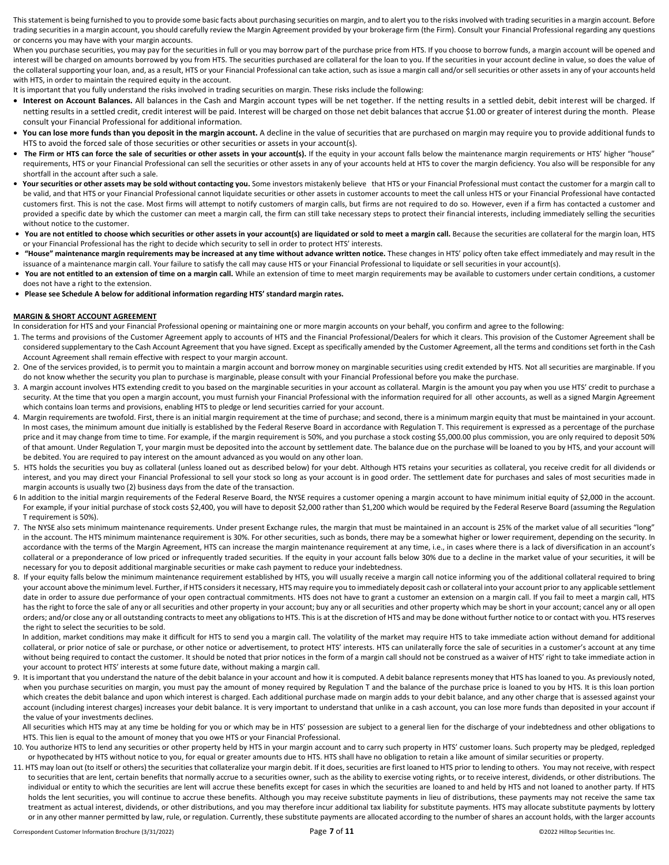This statement is being furnished to you to provide some basic facts about purchasing securities on margin, and to alert you to the risks involved with trading securities in a margin account. Before trading securities in a margin account, you should carefully review the Margin Agreement provided by your brokerage firm (the Firm). Consult your Financial Professional regarding any questions or concerns you may have with your margin accounts.

When you purchase securities, you may pay for the securities in full or you may borrow part of the purchase price from HTS. If you choose to borrow funds, a margin account will be opened and interest will be charged on amounts borrowed by you from HTS. The securities purchased are collateral for the loan to you. If the securities in your account decline in value, so does the value of the collateral supporting your loan, and, as a result, HTS or your Financial Professional can take action, such as issue a margin call and/or sell securities or other assets in any of your accounts held with HTS, in order to maintain the required equity in the account.

It is important that you fully understand the risks involved in trading securities on margin. These risks include the following:

- **Interest on Account Balances.** All balances in the Cash and Margin account types will be net together. If the netting results in a settled debit, debit interest will be charged. If netting results in a settled credit, credit interest will be paid. Interest will be charged on those net debit balances that accrue \$1.00 or greater of interest during the month. Please consult your Financial Professional for additional information.
- You can lose more funds than you deposit in the margin account. A decline in the value of securities that are purchased on margin may require you to provide additional funds to HTS to avoid the forced sale of those securities or other securities or assets in your account(s).
- The Firm or HTS can force the sale of securities or other assets in your account(s). If the equity in your account falls below the maintenance margin requirements or HTS' higher "house" requirements, HTS or your Financial Professional can sell the securities or other assets in any of your accounts held at HTS to cover the margin deficiency. You also will be responsible for any shortfall in the account after such a sale.
- Your securities or other assets may be sold without contacting you. Some investors mistakenly believe that HTS or your Financial Professional must contact the customer for a margin call to be valid, and that HTS or your Financial Professional cannot liquidate securities or other assets in customer accounts to meet the call unless HTS or your Financial Professional have contacted customers first. This is not the case. Most firms will attempt to notify customers of margin calls, but firms are not required to do so. However, even if a firm has contacted a customer and provided a specific date by which the customer can meet a margin call, the firm can still take necessary steps to protect their financial interests, including immediately selling the securities without notice to the customer.
- **You are not entitled to choose which securities or other assets in your account(s) are liquidated or sold to meet a margin call.** Because the securities are collateral for the margin loan, HTS or your Financial Professional has the right to decide which security to sell in order to protect HTS' interests.
- **"House" maintenance margin requirements may be increased at any time without advance written notice.** These changes in HTS' policy often take effect immediately and may result in the issuance of a maintenance margin call. Your failure to satisfy the call may cause HTS or your Financial Professional to liquidate or sell securities in your account(s).
- **You are not entitled to an extension of time on a margin call.** While an extension of time to meet margin requirements may be available to customers under certain conditions, a customer does not have a right to the extension.
- **Please see Schedule A below for additional information regarding HTS' standard margin rates.**

#### **MARGIN & SHORT ACCOUNT AGREEMENT**

In consideration for HTS and your Financial Professional opening or maintaining one or more margin accounts on your behalf, you confirm and agree to the following:

- 1. The terms and provisions of the Customer Agreement apply to accounts of HTS and the Financial Professional/Dealers for which it clears. This provision of the Customer Agreement shall be considered supplementary to the Cash Account Agreement that you have signed. Except as specifically amended by the Customer Agreement, all the terms and conditions set forth in the Cash Account Agreement shall remain effective with respect to your margin account.
- 2. One of the services provided, is to permit you to maintain a margin account and borrow money on marginable securities using credit extended by HTS. Not all securities are marginable. If you do not know whether the security you plan to purchase is marginable, please consult with your Financial Professional before you make the purchase.
- 3. A margin account involves HTS extending credit to you based on the marginable securities in your account as collateral. Margin is the amount you pay when you use HTS' credit to purchase a security. At the time that you open a margin account, you must furnish your Financial Professional with the information required for all other accounts, as well as a signed Margin Agreement which contains loan terms and provisions, enabling HTS to pledge or lend securities carried for your account.
- 4. Margin requirements are twofold. First, there is an initial margin requirement at the time of purchase; and second, there is a minimum margin equity that must be maintained in your account. In most cases, the minimum amount due initially is established by the Federal Reserve Board in accordance with Regulation T. This requirement is expressed as a percentage of the purchase price and it may change from time to time. For example, if the margin requirement is 50%, and you purchase a stock costing \$5,000.00 plus commission, you are only required to deposit 50% of that amount. Under Regulation T, your margin must be deposited into the account by settlement date. The balance due on the purchase will be loaned to you by HTS, and your account will be debited. You are required to pay interest on the amount advanced as you would on any other loan.
- 5. HTS holds the securities you buy as collateral (unless loaned out as described below) for your debt. Although HTS retains your securities as collateral, you receive credit for all dividends or interest, and you may direct your Financial Professional to sell your stock so long as your account is in good order. The settlement date for purchases and sales of most securities made in margin accounts is usually two (2) business days from the date of the transaction.
- 6 In addition to the initial margin requirements of the Federal Reserve Board, the NYSE requires a customer opening a margin account to have minimum initial equity of \$2,000 in the account. For example, if your initial purchase of stock costs \$2,400, you will have to deposit \$2,000 rather than \$1,200 which would be required by the Federal Reserve Board (assuming the Regulation T requirement is 50%).
- 7. The NYSE also sets minimum maintenance requirements. Under present Exchange rules, the margin that must be maintained in an account is 25% of the market value of all securities "long" in the account. The HTS minimum maintenance requirement is 30%. For other securities, such as bonds, there may be a somewhat higher or lower requirement, depending on the security. In accordance with the terms of the Margin Agreement, HTS can increase the margin maintenance requirement at any time, i.e., in cases where there is a lack of diversification in an account's collateral or a preponderance of low priced or infrequently traded securities. If the equity in your account falls below 30% due to a decline in the market value of your securities, it will be necessary for you to deposit additional marginable securities or make cash payment to reduce your indebtedness.
- 8. If your equity falls below the minimum maintenance requirement established by HTS, you will usually receive a margin call notice informing you of the additional collateral required to bring your account above the minimum level. Further, if HTS considers it necessary, HTS may require you to immediately deposit cash or collateral into your account prior to any applicable settlement date in order to assure due performance of your open contractual commitments. HTS does not have to grant a customer an extension on a margin call. If you fail to meet a margin call, HTS has the right to force the sale of any or all securities and other property in your account; buy any or all securities and other property which may be short in your account; cancel any or all open orders; and/or close any or all outstanding contracts to meet any obligations to HTS. This is at the discretion of HTS and may be done without further notice to or contact with you. HTS reserves the right to select the securities to be sold.

In addition, market conditions may make it difficult for HTS to send you a margin call. The volatility of the market may require HTS to take immediate action without demand for additional collateral, or prior notice of sale or purchase, or other notice or advertisement, to protect HTS' interests. HTS can unilaterally force the sale of securities in a customer's account at any time without being required to contact the customer. It should be noted that prior notices in the form of a margin call should not be construed as a waiver of HTS' right to take immediate action in your account to protect HTS' interests at some future date, without making a margin call.

9. It is important that you understand the nature of the debit balance in your account and how it is computed. A debit balance represents money that HTS has loaned to you. As previously noted, when you purchase securities on margin, you must pay the amount of money required by Regulation T and the balance of the purchase price is loaned to you by HTS. It is this loan portion which creates the debit balance and upon which interest is charged. Each additional purchase made on margin adds to your debit balance, and any other charge that is assessed against your account (including interest charges) increases your debit balance. It is very important to understand that unlike in a cash account, you can lose more funds than deposited in your account if the value of your investments declines.

All securities which HTS may at any time be holding for you or which may be in HTS' possession are subject to a general lien for the discharge of your indebtedness and other obligations to HTS. This lien is equal to the amount of money that you owe HTS or your Financial Professional.

- 10. You authorize HTS to lend any securities or other property held by HTS in your margin account and to carry such property in HTS' customer loans. Such property may be pledged, repledged or hypothecated by HTS without notice to you, for equal or greater amounts due to HTS. HTS shall have no obligation to retain a like amount of similar securities or property.
- 11. HTS may loan out (to itself or others) the securities that collateralize your margin debit. If it does, securities are first loaned to HTS prior to lending to others. You may not receive, with respect to securities that are lent, certain benefits that normally accrue to a securities owner, such as the ability to exercise voting rights, or to receive interest, dividends, or other distributions. The individual or entity to which the securities are lent will accrue these benefits except for cases in which the securities are loaned to and held by HTS and not loaned to another party. If HTS holds the lent securities, you will continue to accrue these benefits. Although you may receive substitute payments in lieu of distributions, these payments may not receive the same tax treatment as actual interest, dividends, or other distributions, and you may therefore incur additional tax liability for substitute payments. HTS may allocate substitute payments by lottery or in any other manner permitted by law, rule, or regulation. Currently, these substitute payments are allocated according to the number of shares an account holds, with the larger accounts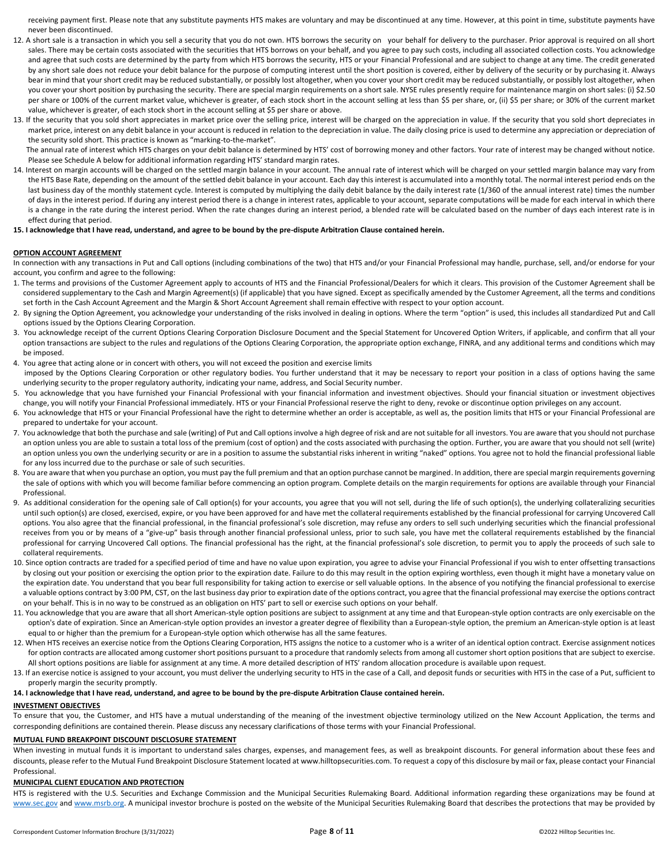receiving payment first. Please note that any substitute payments HTS makes are voluntary and may be discontinued at any time. However, at this point in time, substitute payments have never been discontinued.

- 12. A short sale is a transaction in which you sell a security that you do not own. HTS borrows the security on your behalf for delivery to the purchaser. Prior approval is required on all short sales. There may be certain costs associated with the securities that HTS borrows on your behalf, and you agree to pay such costs, including all associated collection costs. You acknowledge and agree that such costs are determined by the party from which HTS borrows the security, HTS or your Financial Professional and are subject to change at any time. The credit generated by any short sale does not reduce your debit balance for the purpose of computing interest until the short position is covered, either by delivery of the security or by purchasing it. Always bear in mind that your short credit may be reduced substantially, or possibly lost altogether, when you cover your short credit may be reduced substantially, or possibly lost altogether, when you cover your short position by purchasing the security. There are special margin requirements on a short sale. NYSE rules presently require for maintenance margin on short sales: (i) \$2.50 per share or 100% of the current market value, whichever is greater, of each stock short in the account selling at less than \$5 per share, or, (ii) \$5 per share; or 30% of the current market value, whichever is greater, of each stock short in the account selling at \$5 per share or above.
- 13. If the security that you sold short appreciates in market price over the selling price, interest will be charged on the appreciation in value. If the security that you sold short depreciates in market price, interest on any debit balance in your account is reduced in relation to the depreciation in value. The daily closing price is used to determine any appreciation or depreciation of the security sold short. This practice is known as "marking-to-the-market".

The annual rate of interest which HTS charges on your debit balance is determined by HTS' cost of borrowing money and other factors. Your rate of interest may be changed without notice. Please see Schedule A below for additional information regarding HTS' standard margin rates.

14. Interest on margin accounts will be charged on the settled margin balance in your account. The annual rate of interest which will be charged on your settled margin balance may vary from the HTS Base Rate, depending on the amount of the settled debit balance in your account. Each day this interest is accumulated into a monthly total. The normal interest period ends on the last business day of the monthly statement cycle. Interest is computed by multiplying the daily debit balance by the daily interest rate (1/360 of the annual interest rate) times the number of days in the interest period. If during any interest period there is a change in interest rates, applicable to your account, separate computations will be made for each interval in which there is a change in the rate during the interest period. When the rate changes during an interest period, a blended rate will be calculated based on the number of days each interest rate is in effect during that period.

#### **15. I acknowledge that I have read, understand, and agree to be bound by the pre-dispute Arbitration Clause contained herein.**

#### **OPTION ACCOUNT AGREEMENT**

In connection with any transactions in Put and Call options (including combinations of the two) that HTS and/or your Financial Professional may handle, purchase, sell, and/or endorse for your account, you confirm and agree to the following:

- 1. The terms and provisions of the Customer Agreement apply to accounts of HTS and the Financial Professional/Dealers for which it clears. This provision of the Customer Agreement shall be considered supplementary to the Cash and Margin Agreement(s) (if applicable) that you have signed. Except as specifically amended by the Customer Agreement, all the terms and conditions set forth in the Cash Account Agreement and the Margin & Short Account Agreement shall remain effective with respect to your option account.
- 2. By signing the Option Agreement, you acknowledge your understanding of the risks involved in dealing in options. Where the term "option" is used, this includes all standardized Put and Call options issued by the Options Clearing Corporation.
- 3. You acknowledge receipt of the current Options Clearing Corporation Disclosure Document and the Special Statement for Uncovered Option Writers, if applicable, and confirm that all your option transactions are subject to the rules and regulations of the Options Clearing Corporation, the appropriate option exchange, FINRA, and any additional terms and conditions which may be imposed.
- 4. You agree that acting alone or in concert with others, you will not exceed the position and exercise limits imposed by the Options Clearing Corporation or other regulatory bodies. You further understand that it may be necessary to report your position in a class of options having the same underlying security to the proper regulatory authority, indicating your name, address, and Social Security number.
- 5. You acknowledge that you have furnished your Financial Professional with your financial information and investment objectives. Should your financial situation or investment objectives change, you will notify your Financial Professional immediately. HTS or your Financial Professional reserve the right to deny, revoke or discontinue option privileges on any account.
- 6. You acknowledge that HTS or your Financial Professional have the right to determine whether an order is acceptable, as well as, the position limits that HTS or your Financial Professional are prepared to undertake for your account.
- 7. You acknowledge that both the purchase and sale (writing) of Put and Call options involve a high degree of risk and are not suitable for all investors. You are aware that you should not purchase an option unless you are able to sustain a total loss of the premium (cost of option) and the costs associated with purchasing the option. Further, you are aware that you should not sell (write) an option unless you own the underlying security or are in a position to assume the substantial risks inherent in writing "naked" options. You agree not to hold the financial professional liable for any loss incurred due to the purchase or sale of such securities.
- 8. You are aware that when you purchase an option, you must pay the full premium and that an option purchase cannot be margined. In addition, there are special margin requirements governing the sale of options with which you will become familiar before commencing an option program. Complete details on the margin requirements for options are available through your Financial Professional.
- 9. As additional consideration for the opening sale of Call option(s) for your accounts, you agree that you will not sell, during the life of such option(s), the underlying collateralizing securities until such option(s) are closed, exercised, expire, or you have been approved for and have met the collateral requirements established by the financial professional for carrying Uncovered Call options. You also agree that the financial professional, in the financial professional's sole discretion, may refuse any orders to sell such underlying securities which the financial professional receives from you or by means of a "give-up" basis through another financial professional unless, prior to such sale, you have met the collateral requirements established by the financial professional for carrying Uncovered Call options. The financial professional has the right, at the financial professional's sole discretion, to permit you to apply the proceeds of such sale to collateral requirements.
- 10. Since option contracts are traded for a specified period of time and have no value upon expiration, you agree to advise your Financial Professional if you wish to enter offsetting transactions by closing out your position or exercising the option prior to the expiration date. Failure to do this may result in the option expiring worthless, even though it might have a monetary value on the expiration date. You understand that you bear full responsibility for taking action to exercise or sell valuable options. In the absence of you notifying the financial professional to exercise a valuable options contract by 3:00 PM, CST, on the last business day prior to expiration date of the options contract, you agree that the financial professional may exercise the options contract on your behalf. This is in no way to be construed as an obligation on HTS' part to sell or exercise such options on your behalf.
- 11. You acknowledge that you are aware that all short American-style option positions are subject to assignment at any time and that European-style option contracts are only exercisable on the option's date of expiration. Since an American-style option provides an investor a greater degree of flexibility than a European-style option, the premium an American-style option is at least equal to or higher than the premium for a European-style option which otherwise has all the same features.
- 12. When HTS receives an exercise notice from the Options Clearing Corporation, HTS assigns the notice to a customer who is a writer of an identical option contract. Exercise assignment notices for option contracts are allocated among customer short positions pursuant to a procedure that randomly selects from among all customer short option positions that are subject to exercise. All short options positions are liable for assignment at any time. A more detailed description of HTS' random allocation procedure is available upon request.
- 13. If an exercise notice is assigned to your account, you must deliver the underlying security to HTS in the case of a Call, and deposit funds or securities with HTS in the case of a Put, sufficient to properly margin the security promptly.

#### **14. I acknowledge that I have read, understand, and agree to be bound by the pre-dispute Arbitration Clause contained herein.**

#### **INVESTMENT OBJECTIVES**

To ensure that you, the Customer, and HTS have a mutual understanding of the meaning of the investment objective terminology utilized on the New Account Application, the terms and corresponding definitions are contained therein. Please discuss any necessary clarifications of those terms with your Financial Professional.

#### **MUTUAL FUND BREAKPOINT DISCOUNT DISCLOSURE STATEMENT**

When investing in mutual funds it is important to understand sales charges, expenses, and management fees, as well as breakpoint discounts. For general information about these fees and discounts, please refer to the Mutual Fund Breakpoint Disclosure Statement located at www.hilltopsecurities.com. To request a copy of this disclosure by mail or fax, please contact your Financial Professional.

#### **MUNICIPAL CLIENT EDUCATION AND PROTECTION**

HTS is registered with the U.S. Securities and Exchange Commission and the Municipal Securities Rulemaking Board. Additional information regarding these organizations may be found at www.sec.gov and www.msrb.org. A municipal investor brochure is posted on the website of the Municipal Securities Rulemaking Board that describes the protections that may be provided by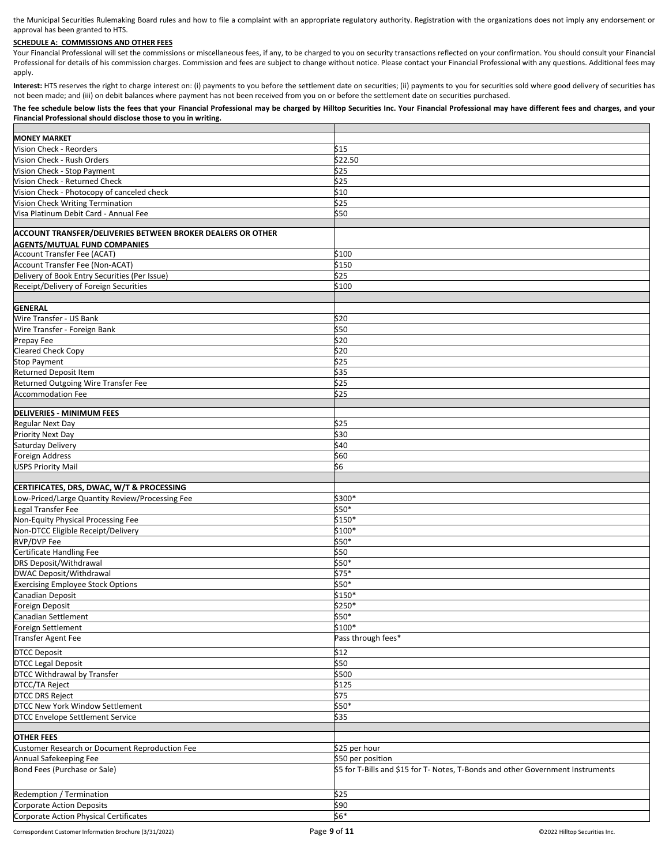the Municipal Securities Rulemaking Board rules and how to file a complaint with an appropriate regulatory authority. Registration with the organizations does not imply any endorsement or approval has been granted to HTS.

## **SCHEDULE A: COMMISSIONS AND OTHER FEES**

Your Financial Professional will set the commissions or miscellaneous fees, if any, to be charged to you on security transactions reflected on your confirmation. You should consult your Financial Professional for details of his commission charges. Commission and fees are subject to change without notice. Please contact your Financial Professional with any questions. Additional fees may apply.

Interest: HTS reserves the right to charge interest on: (i) payments to you before the settlement date on securities; (ii) payments to you for securities sold where good delivery of securities has not been made; and (iii) on debit balances where payment has not been received from you on or before the settlement date on securities purchased.

#### **The fee schedule below lists the fees that your Financial Professional may be charged by Hilltop Securities Inc. Your Financial Professional may have different fees and charges, and your Financial Professional should disclose those to you in writing.**

| <b>MONEY MARKET</b>                                         |                                                                                 |
|-------------------------------------------------------------|---------------------------------------------------------------------------------|
| Vision Check - Reorders                                     | \$15                                                                            |
| Vision Check - Rush Orders                                  | \$22.50                                                                         |
|                                                             |                                                                                 |
| Vision Check - Stop Payment                                 | \$25                                                                            |
| Vision Check - Returned Check                               | \$25                                                                            |
| Vision Check - Photocopy of canceled check                  | \$10                                                                            |
| Vision Check Writing Termination                            | \$25                                                                            |
| Visa Platinum Debit Card - Annual Fee                       | \$50                                                                            |
|                                                             |                                                                                 |
| ACCOUNT TRANSFER/DELIVERIES BETWEEN BROKER DEALERS OR OTHER |                                                                                 |
| <b>AGENTS/MUTUAL FUND COMPANIES</b>                         |                                                                                 |
| <b>Account Transfer Fee (ACAT)</b>                          | \$100                                                                           |
| Account Transfer Fee (Non-ACAT)                             | \$150                                                                           |
| Delivery of Book Entry Securities (Per Issue)               | \$25                                                                            |
| Receipt/Delivery of Foreign Securities                      | \$100                                                                           |
|                                                             |                                                                                 |
|                                                             |                                                                                 |
| <b>GENERAL</b>                                              |                                                                                 |
| Wire Transfer - US Bank                                     | \$20                                                                            |
| Wire Transfer - Foreign Bank                                | \$50                                                                            |
| Prepay Fee                                                  | \$20                                                                            |
| <b>Cleared Check Copy</b>                                   | \$20                                                                            |
| <b>Stop Payment</b>                                         | \$25                                                                            |
| Returned Deposit Item                                       | \$35                                                                            |
| Returned Outgoing Wire Transfer Fee                         | \$25                                                                            |
|                                                             |                                                                                 |
| <b>Accommodation Fee</b>                                    | \$25                                                                            |
|                                                             |                                                                                 |
| <b>DELIVERIES - MINIMUM FEES</b>                            |                                                                                 |
| <b>Regular Next Day</b>                                     | \$25                                                                            |
| Priority Next Day                                           | \$30                                                                            |
| Saturday Delivery                                           | \$40                                                                            |
| <b>Foreign Address</b>                                      | \$60                                                                            |
| <b>USPS Priority Mail</b>                                   | \$6                                                                             |
|                                                             |                                                                                 |
| CERTIFICATES, DRS, DWAC, W/T & PROCESSING                   |                                                                                 |
| Low-Priced/Large Quantity Review/Processing Fee             | \$300*                                                                          |
| Legal Transfer Fee                                          | \$50*                                                                           |
| Non-Equity Physical Processing Fee                          | $$150*$                                                                         |
|                                                             | \$100*                                                                          |
| Non-DTCC Eligible Receipt/Delivery                          |                                                                                 |
| <b>RVP/DVP Fee</b>                                          | \$50*                                                                           |
| Certificate Handling Fee                                    | \$50                                                                            |
| DRS Deposit/Withdrawal                                      | \$50*                                                                           |
| DWAC Deposit/Withdrawal                                     | $$75*$                                                                          |
| <b>Exercising Employee Stock Options</b>                    | \$50*                                                                           |
| Canadian Deposit                                            | \$150*                                                                          |
| Foreign Deposit                                             | \$250*                                                                          |
| Canadian Settlement                                         | \$50*                                                                           |
| Foreign Settlement                                          | \$100*                                                                          |
|                                                             | Pass through fees*                                                              |
| <b>Transfer Agent Fee</b>                                   |                                                                                 |
| <b>DTCC Deposit</b>                                         | \$12                                                                            |
| <b>DTCC Legal Deposit</b>                                   | \$50                                                                            |
| DTCC Withdrawal by Transfer                                 | \$500                                                                           |
| DTCC/TA Reject                                              | \$125                                                                           |
| <b>DTCC DRS Reject</b>                                      | \$75                                                                            |
|                                                             |                                                                                 |
| DTCC New York Window Settlement                             | $$50*$                                                                          |
| <b>DTCC Envelope Settlement Service</b>                     | \$35                                                                            |
|                                                             |                                                                                 |
| <b>OTHER FEES</b>                                           |                                                                                 |
| Customer Research or Document Reproduction Fee              | \$25 per hour                                                                   |
| Annual Safekeeping Fee                                      | \$50 per position                                                               |
| Bond Fees (Purchase or Sale)                                | \$5 for T-Bills and \$15 for T- Notes, T-Bonds and other Government Instruments |
|                                                             |                                                                                 |
|                                                             |                                                                                 |
| Redemption / Termination                                    | \$25                                                                            |
| <b>Corporate Action Deposits</b>                            | \$90                                                                            |
| Corporate Action Physical Certificates                      | \$6*                                                                            |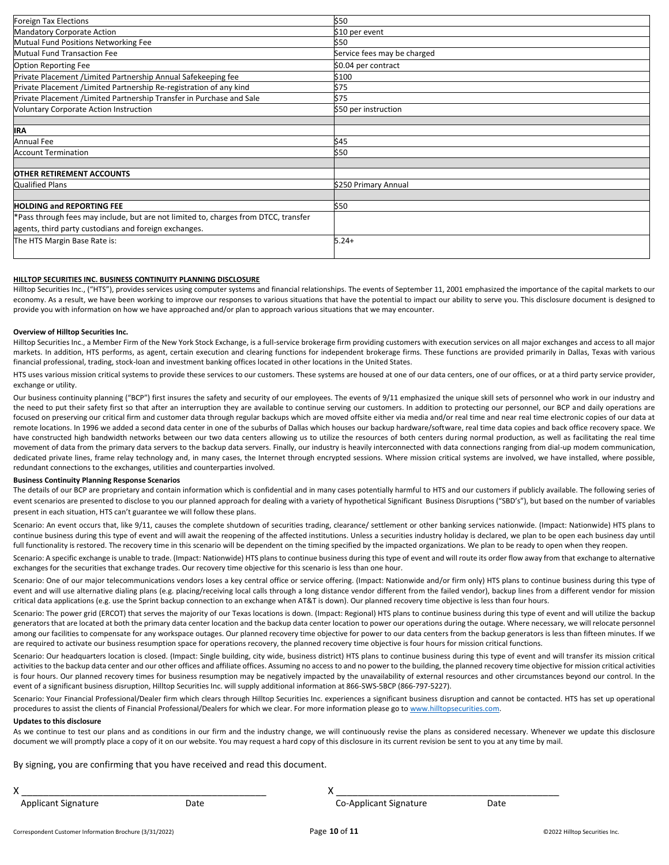| Foreign Tax Elections                                                               | \$50                        |
|-------------------------------------------------------------------------------------|-----------------------------|
| Mandatory Corporate Action                                                          | \$10 per event              |
| Mutual Fund Positions Networking Fee                                                | \$50                        |
| Mutual Fund Transaction Fee                                                         | Service fees may be charged |
| <b>Option Reporting Fee</b>                                                         | \$0.04 per contract         |
| Private Placement / Limited Partnership Annual Safekeeping fee                      | \$100                       |
| Private Placement / Limited Partnership Re-registration of any kind                 | \$75                        |
| Private Placement / Limited Partnership Transfer in Purchase and Sale               | \$75                        |
| <b>Voluntary Corporate Action Instruction</b>                                       | \$50 per instruction        |
|                                                                                     |                             |
| <b>IRA</b>                                                                          |                             |
| <b>Annual Fee</b>                                                                   | \$45                        |
| <b>Account Termination</b>                                                          | \$50                        |
|                                                                                     |                             |
| <b>OTHER RETIREMENT ACCOUNTS</b>                                                    |                             |
| <b>Qualified Plans</b>                                                              | \$250 Primary Annual        |
|                                                                                     |                             |
| <b>HOLDING and REPORTING FEE</b>                                                    | \$50                        |
| *Pass through fees may include, but are not limited to, charges from DTCC, transfer |                             |
| agents, third party custodians and foreign exchanges.                               |                             |
| The HTS Margin Base Rate is:                                                        | $5.24+$                     |

#### **HILLTOP SECURITIES INC. BUSINESS CONTINUITY PLANNING DISCLOSURE**

Hilltop Securities Inc., ("HTS"), provides services using computer systems and financial relationships. The events of September 11, 2001 emphasized the importance of the capital markets to our economy. As a result, we have been working to improve our responses to various situations that have the potential to impact our ability to serve you. This disclosure document is designed to provide you with information on how we have approached and/or plan to approach various situations that we may encounter.

#### **Overview of Hilltop Securities Inc.**

Hilltop Securities Inc., a Member Firm of the New York Stock Exchange, is a full-service brokerage firm providing customers with execution services on all major exchanges and access to all major markets. In addition, HTS performs, as agent, certain execution and clearing functions for independent brokerage firms. These functions are provided primarily in Dallas, Texas with various financial professional, trading, stock-loan and investment banking offices located in other locations in the United States.

HTS uses various mission critical systems to provide these services to our customers. These systems are housed at one of our data centers, one of our offices, or at a third party service provider, exchange or utility.

Our business continuity planning ("BCP") first insures the safety and security of our employees. The events of 9/11 emphasized the unique skill sets of personnel who work in our industry and the need to put their safety first so that after an interruption they are available to continue serving our customers. In addition to protecting our personnel, our BCP and daily operations are focused on preserving our critical firm and customer data through regular backups which are moved offsite either via media and/or real time and near real time electronic copies of our data at remote locations. In 1996 we added a second data center in one of the suburbs of Dallas which houses our backup hardware/software, real time data copies and back office recovery space. We have constructed high bandwidth networks between our two data centers allowing us to utilize the resources of both centers during normal production, as well as facilitating the real time movement of data from the primary data servers to the backup data servers. Finally, our industry is heavily interconnected with data connections ranging from dial-up modem communication, dedicated private lines, frame relay technology and, in many cases, the Internet through encrypted sessions. Where mission critical systems are involved, we have installed, where possible, redundant connections to the exchanges, utilities and counterparties involved.

## **Business Continuity Planning Response Scenarios**

The details of our BCP are proprietary and contain information which is confidential and in many cases potentially harmful to HTS and our customers if publicly available. The following series of event scenarios are presented to disclose to you our planned approach for dealing with a variety of hypothetical Significant Business Disruptions ("SBD's"), but based on the number of variables present in each situation, HTS can't guarantee we will follow these plans.

Scenario: An event occurs that, like 9/11, causes the complete shutdown of securities trading, clearance/ settlement or other banking services nationwide. (Impact: Nationwide) HTS plans to continue business during this type of event and will await the reopening of the affected institutions. Unless a securities industry holiday is declared, we plan to be open each business day until full functionality is restored. The recovery time in this scenario will be dependent on the timing specified by the impacted organizations. We plan to be ready to open when they reopen.

Scenario: A specific exchange is unable to trade. (Impact: Nationwide) HTS plans to continue business during this type of event and will route its order flow away from that exchange to alternative exchanges for the securities that exchange trades. Our recovery time objective for this scenario is less than one hour.

Scenario: One of our major telecommunications vendors loses a key central office or service offering. (Impact: Nationwide and/or firm only) HTS plans to continue business during this type of event and will use alternative dialing plans (e.g. placing/receiving local calls through a long distance vendor different from the failed vendor), backup lines from a different vendor for mission critical data applications (e.g. use the Sprint backup connection to an exchange when AT&T is down). Our planned recovery time objective is less than four hours.

Scenario: The power grid (ERCOT) that serves the majority of our Texas locations is down. (Impact: Regional) HTS plans to continue business during this type of event and will utilize the backup generators that are located at both the primary data center location and the backup data center location to power our operations during the outage. Where necessary, we will relocate personnel among our facilities to compensate for any workspace outages. Our planned recovery time objective for power to our data centers from the backup generators is less than fifteen minutes. If we are required to activate our business resumption space for operations recovery, the planned recovery time objective is four hours for mission critical functions.

Scenario: Our headquarters location is closed. (Impact: Single building, city wide, business district) HTS plans to continue business during this type of event and will transfer its mission critical activities to the backup data center and our other offices and affiliate offices. Assuming no access to and no power to the building, the planned recovery time objective for mission critical activities is four hours. Our planned recovery times for business resumption may be negatively impacted by the unavailability of external resources and other circumstances beyond our control. In the event of a significant business disruption, Hilltop Securities Inc. will supply additional information at 866-SWS-5BCP (866-797-5227).

Scenario: Your Financial Professional/Dealer firm which clears through Hilltop Securities Inc. experiences a significant business disruption and cannot be contacted. HTS has set up operational procedures to assist the clients of Financial Professional/Dealers for which we clear. For more information please go t[o www.hilltopsecurities.com.](http://www.hilltopsecurities.com/)

#### **Updates to this disclosure**

As we continue to test our plans and as conditions in our firm and the industry change, we will continuously revise the plans as considered necessary. Whenever we update this disclosure document we will promptly place a copy of it on our website. You may request a hard copy of this disclosure in its current revision be sent to you at any time by mail.

By signing, you are confirming that you have received and read this document.

Applicant Signature The Co-Applicant Signature Date Co-Applicant Signature Date

X \_\_\_\_\_\_\_\_\_\_\_\_\_\_\_\_\_\_\_\_\_\_\_\_\_\_\_\_\_\_\_\_\_\_\_\_\_\_\_\_\_\_\_\_\_ X \_\_\_\_\_\_\_\_\_\_\_\_\_\_\_\_\_\_\_\_\_\_\_\_\_\_\_\_\_\_\_\_\_\_\_\_\_\_\_\_\_